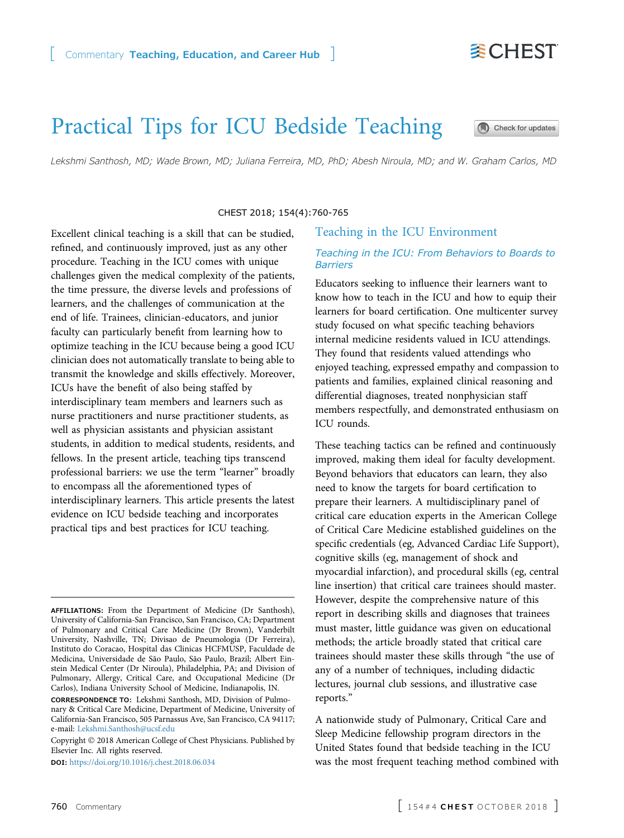# Practical Tips for ICU Bedside Teaching

Lekshmi Santhosh, MD; Wade Brown, MD; Juliana Ferreira, MD, PhD; Abesh Niroula, MD; and W. Graham Carlos, MD

#### CHEST 2018; 154(4):760-765

Excellent clinical teaching is a skill that can be studied, refined, and continuously improved, just as any other procedure. Teaching in the ICU comes with unique challenges given the medical complexity of the patients, the time pressure, the diverse levels and professions of learners, and the challenges of communication at the end of life. Trainees, clinician-educators, and junior faculty can particularly benefit from learning how to optimize teaching in the ICU because being a good ICU clinician does not automatically translate to being able to transmit the knowledge and skills effectively. Moreover, ICUs have the benefit of also being staffed by interdisciplinary team members and learners such as nurse practitioners and nurse practitioner students, as well as physician assistants and physician assistant students, in addition to medical students, residents, and fellows. In the present article, teaching tips transcend professional barriers: we use the term "learner" broadly to encompass all the aforementioned types of interdisciplinary learners. This article presents the latest evidence on ICU bedside teaching and incorporates practical tips and best practices for ICU teaching.

DOI: <https://doi.org/10.1016/j.chest.2018.06.034>

#### Teaching in the ICU Environment

#### Teaching in the ICU: From Behaviors to Boards to **Barriers**

**委CHEST** 

Check for updates

Educators seeking to influence their learners want to know how to teach in the ICU and how to equip their learners for board certification. One multicenter survey study focused on what specific teaching behaviors internal medicine residents valued in ICU attendings. They found that residents valued attendings who enjoyed teaching, expressed empathy and compassion to patients and families, explained clinical reasoning and differential diagnoses, treated nonphysician staff members respectfully, and demonstrated enthusiasm on ICU rounds.

These teaching tactics can be refined and continuously improved, making them ideal for faculty development. Beyond behaviors that educators can learn, they also need to know the targets for board certification to prepare their learners. A multidisciplinary panel of critical care education experts in the American College of Critical Care Medicine established guidelines on the specific credentials (eg, Advanced Cardiac Life Support), cognitive skills (eg, management of shock and myocardial infarction), and procedural skills (eg, central line insertion) that critical care trainees should master. However, despite the comprehensive nature of this report in describing skills and diagnoses that trainees must master, little guidance was given on educational methods; the article broadly stated that critical care trainees should master these skills through "the use of any of a number of techniques, including didactic lectures, journal club sessions, and illustrative case reports."

A nationwide study of Pulmonary, Critical Care and Sleep Medicine fellowship program directors in the United States found that bedside teaching in the ICU was the most frequent teaching method combined with

AFFILIATIONS: From the Department of Medicine (Dr Santhosh), University of California-San Francisco, San Francisco, CA; Department of Pulmonary and Critical Care Medicine (Dr Brown), Vanderbilt University, Nashville, TN; Divisao de Pneumologia (Dr Ferreira), Instituto do Coracao, Hospital das Clinicas HCFMUSP, Faculdade de Medicina, Universidade de São Paulo, São Paulo, Brazil; Albert Einstein Medical Center (Dr Niroula), Philadelphia, PA; and Division of Pulmonary, Allergy, Critical Care, and Occupational Medicine (Dr Carlos), Indiana University School of Medicine, Indianapolis, IN. CORRESPONDENCE TO: Lekshmi Santhosh, MD, Division of Pulmo-

nary & Critical Care Medicine, Department of Medicine, University of California-San Francisco, 505 Parnassus Ave, San Francisco, CA 94117; e-mail: [Lekshmi.Santhosh@ucsf.edu](mailto:Lekshmi.Santhosh@ucsf.edu)

Copyright  $\copyright$  2018 American College of Chest Physicians. Published by Elsevier Inc. All rights reserved.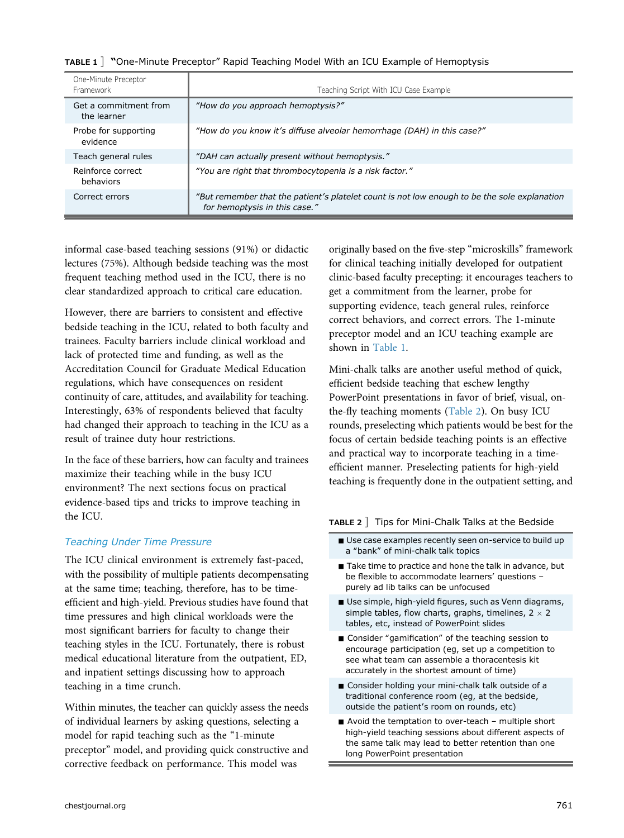| TABLE 1 ] "One-Minute Preceptor" Rapid Teaching Model With an ICU Example of Hemoptysis |  |  |  |  |
|-----------------------------------------------------------------------------------------|--|--|--|--|
|                                                                                         |  |  |  |  |

| One-Minute Preceptor<br>Framework    | Teaching Script With ICU Case Example                                                                                         |  |  |  |  |  |
|--------------------------------------|-------------------------------------------------------------------------------------------------------------------------------|--|--|--|--|--|
| Get a commitment from<br>the learner | "How do you approach hemoptysis?"                                                                                             |  |  |  |  |  |
| Probe for supporting<br>evidence     | "How do you know it's diffuse alveolar hemorrhage (DAH) in this case?"                                                        |  |  |  |  |  |
| Teach general rules                  | "DAH can actually present without hemoptysis."                                                                                |  |  |  |  |  |
| Reinforce correct<br>hehaviors       | "You are right that thrombocytopenia is a risk factor."                                                                       |  |  |  |  |  |
| Correct errors                       | "But remember that the patient's platelet count is not low enough to be the sole explanation<br>for hemoptysis in this case." |  |  |  |  |  |

informal case-based teaching sessions (91%) or didactic lectures (75%). Although bedside teaching was the most frequent teaching method used in the ICU, there is no clear standardized approach to critical care education.

However, there are barriers to consistent and effective bedside teaching in the ICU, related to both faculty and trainees. Faculty barriers include clinical workload and lack of protected time and funding, as well as the Accreditation Council for Graduate Medical Education regulations, which have consequences on resident continuity of care, attitudes, and availability for teaching. Interestingly, 63% of respondents believed that faculty had changed their approach to teaching in the ICU as a result of trainee duty hour restrictions.

In the face of these barriers, how can faculty and trainees maximize their teaching while in the busy ICU environment? The next sections focus on practical evidence-based tips and tricks to improve teaching in the ICU.

### Teaching Under Time Pressure

The ICU clinical environment is extremely fast-paced, with the possibility of multiple patients decompensating at the same time; teaching, therefore, has to be timeefficient and high-yield. Previous studies have found that time pressures and high clinical workloads were the most significant barriers for faculty to change their teaching styles in the ICU. Fortunately, there is robust medical educational literature from the outpatient, ED, and inpatient settings discussing how to approach teaching in a time crunch.

Within minutes, the teacher can quickly assess the needs of individual learners by asking questions, selecting a model for rapid teaching such as the "1-minute preceptor" model, and providing quick constructive and corrective feedback on performance. This model was

originally based on the five-step "microskills" framework for clinical teaching initially developed for outpatient clinic-based faculty precepting: it encourages teachers to get a commitment from the learner, probe for supporting evidence, teach general rules, reinforce correct behaviors, and correct errors. The 1-minute preceptor model and an ICU teaching example are shown in Table 1.

Mini-chalk talks are another useful method of quick, efficient bedside teaching that eschew lengthy PowerPoint presentations in favor of brief, visual, onthe-fly teaching moments (Table 2). On busy ICU rounds, preselecting which patients would be best for the focus of certain bedside teaching points is an effective and practical way to incorporate teaching in a timeefficient manner. Preselecting patients for high-yield teaching is frequently done in the outpatient setting, and

#### TABLE 2 ] Tips for Mini-Chalk Talks at the Bedside

- Use case examples recently seen on-service to build up a "bank" of mini-chalk talk topics
- Take time to practice and hone the talk in advance, but be flexible to accommodate learners' questions – purely ad lib talks can be unfocused
- Use simple, high-yield figures, such as Venn diagrams, simple tables, flow charts, graphs, timelines,  $2 \times 2$ tables, etc, instead of PowerPoint slides
- Consider "gamification" of the teaching session to encourage participation (eg, set up a competition to see what team can assemble a thoracentesis kit accurately in the shortest amount of time)
- Consider holding your mini-chalk talk outside of a traditional conference room (eg, at the bedside, outside the patient's room on rounds, etc)
- $\blacksquare$  Avoid the temptation to over-teach multiple short high-yield teaching sessions about different aspects of the same talk may lead to better retention than one long PowerPoint presentation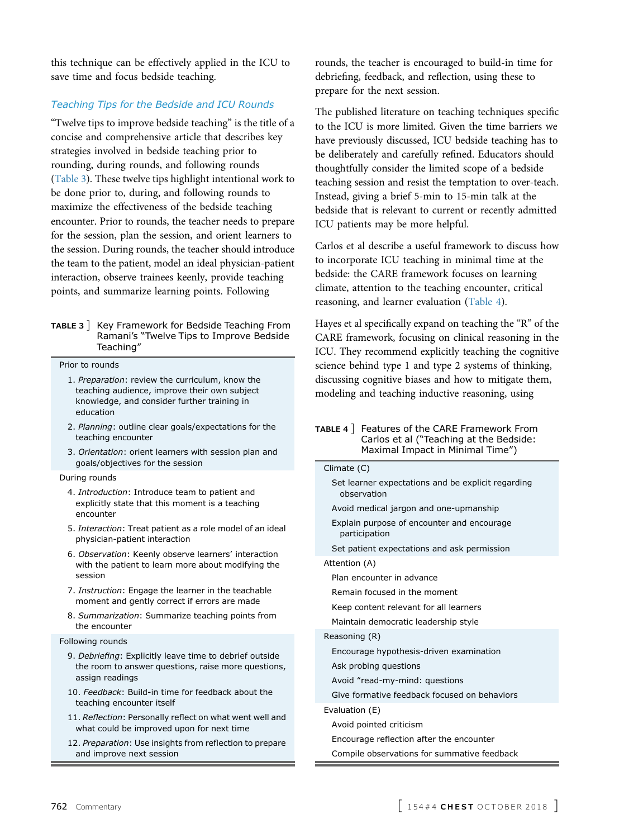this technique can be effectively applied in the ICU to save time and focus bedside teaching.

## Teaching Tips for the Bedside and ICU Rounds

"Twelve tips to improve bedside teaching" is the title of a concise and comprehensive article that describes key strategies involved in bedside teaching prior to rounding, during rounds, and following rounds (Table 3). These twelve tips highlight intentional work to be done prior to, during, and following rounds to maximize the effectiveness of the bedside teaching encounter. Prior to rounds, the teacher needs to prepare for the session, plan the session, and orient learners to the session. During rounds, the teacher should introduce the team to the patient, model an ideal physician-patient interaction, observe trainees keenly, provide teaching points, and summarize learning points. Following

#### TABLE 3 ] Key Framework for Bedside Teaching From Ramani's "Twelve Tips to Improve Bedside Teaching"

#### Prior to rounds

- 1. Preparation: review the curriculum, know the teaching audience, improve their own subject knowledge, and consider further training in education
- 2. Planning: outline clear goals/expectations for the teaching encounter
- 3. Orientation: orient learners with session plan and goals/objectives for the session

#### During rounds

- 4. Introduction: Introduce team to patient and explicitly state that this moment is a teaching encounter
- 5. Interaction: Treat patient as a role model of an ideal physician-patient interaction
- 6. Observation: Keenly observe learners' interaction with the patient to learn more about modifying the session
- 7. Instruction: Engage the learner in the teachable moment and gently correct if errors are made
- 8. Summarization: Summarize teaching points from the encounter

#### Following rounds

- 9. Debriefing: Explicitly leave time to debrief outside the room to answer questions, raise more questions, assign readings
- 10. Feedback: Build-in time for feedback about the teaching encounter itself
- 11. Reflection: Personally reflect on what went well and what could be improved upon for next time
- 12. Preparation: Use insights from reflection to prepare and improve next session

rounds, the teacher is encouraged to build-in time for debriefing, feedback, and reflection, using these to prepare for the next session.

The published literature on teaching techniques specific to the ICU is more limited. Given the time barriers we have previously discussed, ICU bedside teaching has to be deliberately and carefully refined. Educators should thoughtfully consider the limited scope of a bedside teaching session and resist the temptation to over-teach. Instead, giving a brief 5-min to 15-min talk at the bedside that is relevant to current or recently admitted ICU patients may be more helpful.

Carlos et al describe a useful framework to discuss how to incorporate ICU teaching in minimal time at the bedside: the CARE framework focuses on learning climate, attention to the teaching encounter, critical reasoning, and learner evaluation (Table 4).

Hayes et al specifically expand on teaching the "R" of the CARE framework, focusing on clinical reasoning in the ICU. They recommend explicitly teaching the cognitive science behind type 1 and type 2 systems of thinking, discussing cognitive biases and how to mitigate them, modeling and teaching inductive reasoning, using

#### TABLE 4 ] Features of the CARE Framework From Carlos et al ("Teaching at the Bedside: Maximal Impact in Minimal Time")

| Climate $(C)$                                                     |
|-------------------------------------------------------------------|
| Set learner expectations and be explicit regarding<br>observation |
| Avoid medical jargon and one-upmanship                            |
| Explain purpose of encounter and encourage<br>participation       |
| Set patient expectations and ask permission                       |
| Attention (A)                                                     |
| Plan encounter in advance                                         |
| Remain focused in the moment                                      |
| Keep content relevant for all learners                            |
| Maintain democratic leadership style                              |
| Reasoning (R)                                                     |
| Encourage hypothesis-driven examination                           |
| Ask probing questions                                             |
| Avoid "read-my-mind: questions                                    |
| Give formative feedback focused on behaviors                      |
| Evaluation (E)                                                    |
| Avoid pointed criticism                                           |
| Encourage reflection after the encounter                          |
| Compile observations for summative feedback                       |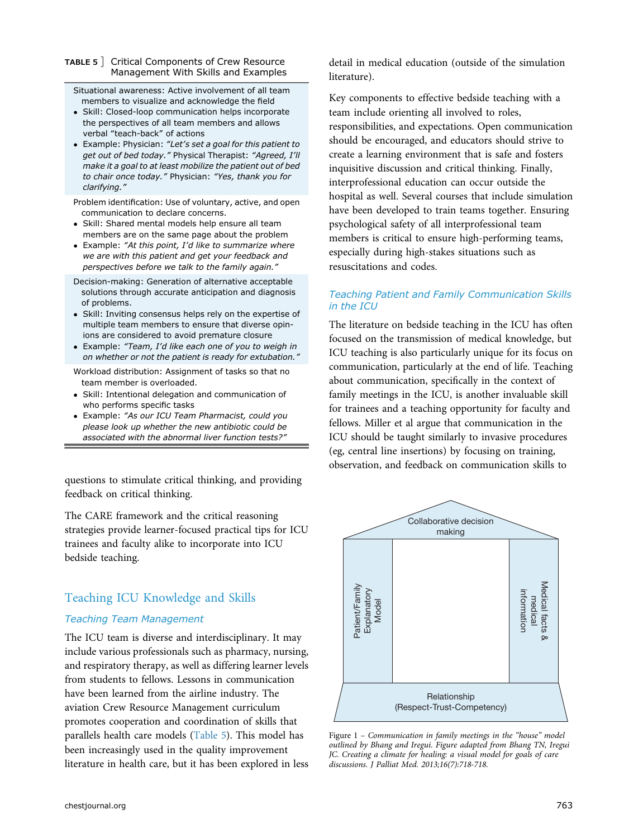#### <span id="page-3-0"></span>TABLE 5 ] Critical Components of Crew Resource Management With Skills and Examples

Situational awareness: Active involvement of all team members to visualize and acknowledge the field

- Skill: Closed-loop communication helps incorporate the perspectives of all team members and allows verbal "teach-back" of actions
- Example: Physician: "Let's set a goal for this patient to get out of bed today." Physical Therapist: "Agreed, I'll make it a goal to at least mobilize the patient out of bed to chair once today." Physician: "Yes, thank you for clarifying."

Problem identification: Use of voluntary, active, and open communication to declare concerns.

- Skill: Shared mental models help ensure all team members are on the same page about the problem
- Example: "At this point, I'd like to summarize where we are with this patient and get your feedback and perspectives before we talk to the family again."

Decision-making: Generation of alternative acceptable solutions through accurate anticipation and diagnosis of problems.

- Skill: Inviting consensus helps rely on the expertise of multiple team members to ensure that diverse opinions are considered to avoid premature closure
- Example: "Team, I'd like each one of you to weigh in on whether or not the patient is ready for extubation.'

Workload distribution: Assignment of tasks so that no team member is overloaded.

- Skill: Intentional delegation and communication of who performs specific tasks
- Example: "As our ICU Team Pharmacist, could you please look up whether the new antibiotic could be associated with the abnormal liver function tests?"

questions to stimulate critical thinking, and providing feedback on critical thinking.

The CARE framework and the critical reasoning strategies provide learner-focused practical tips for ICU trainees and faculty alike to incorporate into ICU bedside teaching.

# Teaching ICU Knowledge and Skills

## Teaching Team Management

The ICU team is diverse and interdisciplinary. It may include various professionals such as pharmacy, nursing, and respiratory therapy, as well as differing learner levels from students to fellows. Lessons in communication have been learned from the airline industry. The aviation Crew Resource Management curriculum promotes cooperation and coordination of skills that parallels health care models (Table 5). This model has been increasingly used in the quality improvement literature in health care, but it has been explored in less detail in medical education (outside of the simulation literature).

Key components to effective bedside teaching with a team include orienting all involved to roles, responsibilities, and expectations. Open communication should be encouraged, and educators should strive to create a learning environment that is safe and fosters inquisitive discussion and critical thinking. Finally, interprofessional education can occur outside the hospital as well. Several courses that include simulation have been developed to train teams together. Ensuring psychological safety of all interprofessional team members is critical to ensure high-performing teams, especially during high-stakes situations such as resuscitations and codes.

## Teaching Patient and Family Communication Skills in the ICU

The literature on bedside teaching in the ICU has often focused on the transmission of medical knowledge, but ICU teaching is also particularly unique for its focus on communication, particularly at the end of life. Teaching about communication, specifically in the context of family meetings in the ICU, is another invaluable skill for trainees and a teaching opportunity for faculty and fellows. Miller et al argue that communication in the ICU should be taught similarly to invasive procedures (eg, central line insertions) by focusing on training, observation, and feedback on communication skills to



Figure 1 – Communication in family meetings in the "house" model outlined by Bhang and Iregui. Figure adapted from Bhang TN, Iregui JC. Creating a climate for healing: a visual model for goals of care discussions. J Palliat Med. 2013;16(7):718-718.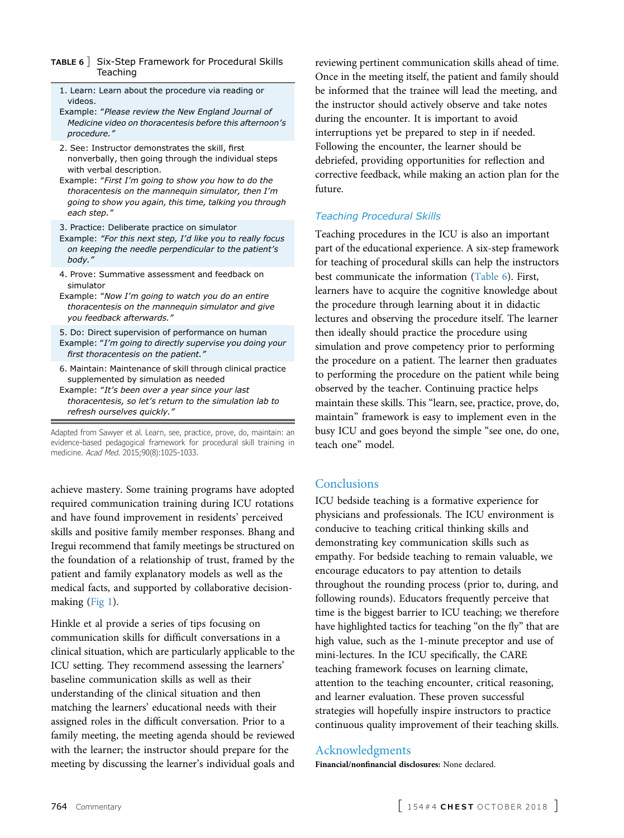#### TABLE 6 ] Six-Step Framework for Procedural Skills Teaching

- 1. Learn: Learn about the procedure via reading or videos.
- Example: "Please review the New England Journal of Medicine video on thoracentesis before this afternoon's procedure."
- 2. See: Instructor demonstrates the skill, first nonverbally, then going through the individual steps with verbal description.
- Example: "First I'm going to show you how to do the thoracentesis on the mannequin simulator, then I'm going to show you again, this time, talking you through each step."

3. Practice: Deliberate practice on simulator

- Example: "For this next step, I'd like you to really focus on keeping the needle perpendicular to the patient's body."
- 4. Prove: Summative assessment and feedback on simulator
- Example: "Now I'm going to watch you do an entire thoracentesis on the mannequin simulator and give you feedback afterwards."

5. Do: Direct supervision of performance on human Example: "I'm going to directly supervise you doing your first thoracentesis on the patient."

- 6. Maintain: Maintenance of skill through clinical practice supplemented by simulation as needed
- Example: "It's been over a year since your last thoracentesis, so let's return to the simulation lab to refresh ourselves quickly."

Adapted from Sawyer et al. Learn, see, practice, prove, do, maintain: an evidence-based pedagogical framework for procedural skill training in medicine. Acad Med. 2015;90(8):1025-1033.

achieve mastery. Some training programs have adopted required communication training during ICU rotations and have found improvement in residents' perceived skills and positive family member responses. Bhang and Iregui recommend that family meetings be structured on the foundation of a relationship of trust, framed by the patient and family explanatory models as well as the medical facts, and supported by collaborative decisionmaking ([Fig 1](#page-3-0)).

Hinkle et al provide a series of tips focusing on communication skills for difficult conversations in a clinical situation, which are particularly applicable to the ICU setting. They recommend assessing the learners' baseline communication skills as well as their understanding of the clinical situation and then matching the learners' educational needs with their assigned roles in the difficult conversation. Prior to a family meeting, the meeting agenda should be reviewed with the learner; the instructor should prepare for the meeting by discussing the learner's individual goals and

reviewing pertinent communication skills ahead of time. Once in the meeting itself, the patient and family should be informed that the trainee will lead the meeting, and the instructor should actively observe and take notes during the encounter. It is important to avoid interruptions yet be prepared to step in if needed. Following the encounter, the learner should be debriefed, providing opportunities for reflection and corrective feedback, while making an action plan for the future.

# Teaching Procedural Skills

Teaching procedures in the ICU is also an important part of the educational experience. A six-step framework for teaching of procedural skills can help the instructors best communicate the information (Table 6). First, learners have to acquire the cognitive knowledge about the procedure through learning about it in didactic lectures and observing the procedure itself. The learner then ideally should practice the procedure using simulation and prove competency prior to performing the procedure on a patient. The learner then graduates to performing the procedure on the patient while being observed by the teacher. Continuing practice helps maintain these skills. This "learn, see, practice, prove, do, maintain" framework is easy to implement even in the busy ICU and goes beyond the simple "see one, do one, teach one" model.

# **Conclusions**

ICU bedside teaching is a formative experience for physicians and professionals. The ICU environment is conducive to teaching critical thinking skills and demonstrating key communication skills such as empathy. For bedside teaching to remain valuable, we encourage educators to pay attention to details throughout the rounding process (prior to, during, and following rounds). Educators frequently perceive that time is the biggest barrier to ICU teaching; we therefore have highlighted tactics for teaching "on the fly" that are high value, such as the 1-minute preceptor and use of mini-lectures. In the ICU specifically, the CARE teaching framework focuses on learning climate, attention to the teaching encounter, critical reasoning, and learner evaluation. These proven successful strategies will hopefully inspire instructors to practice continuous quality improvement of their teaching skills.

# Acknowledgments

Financial/nonfinancial disclosures: None declared.